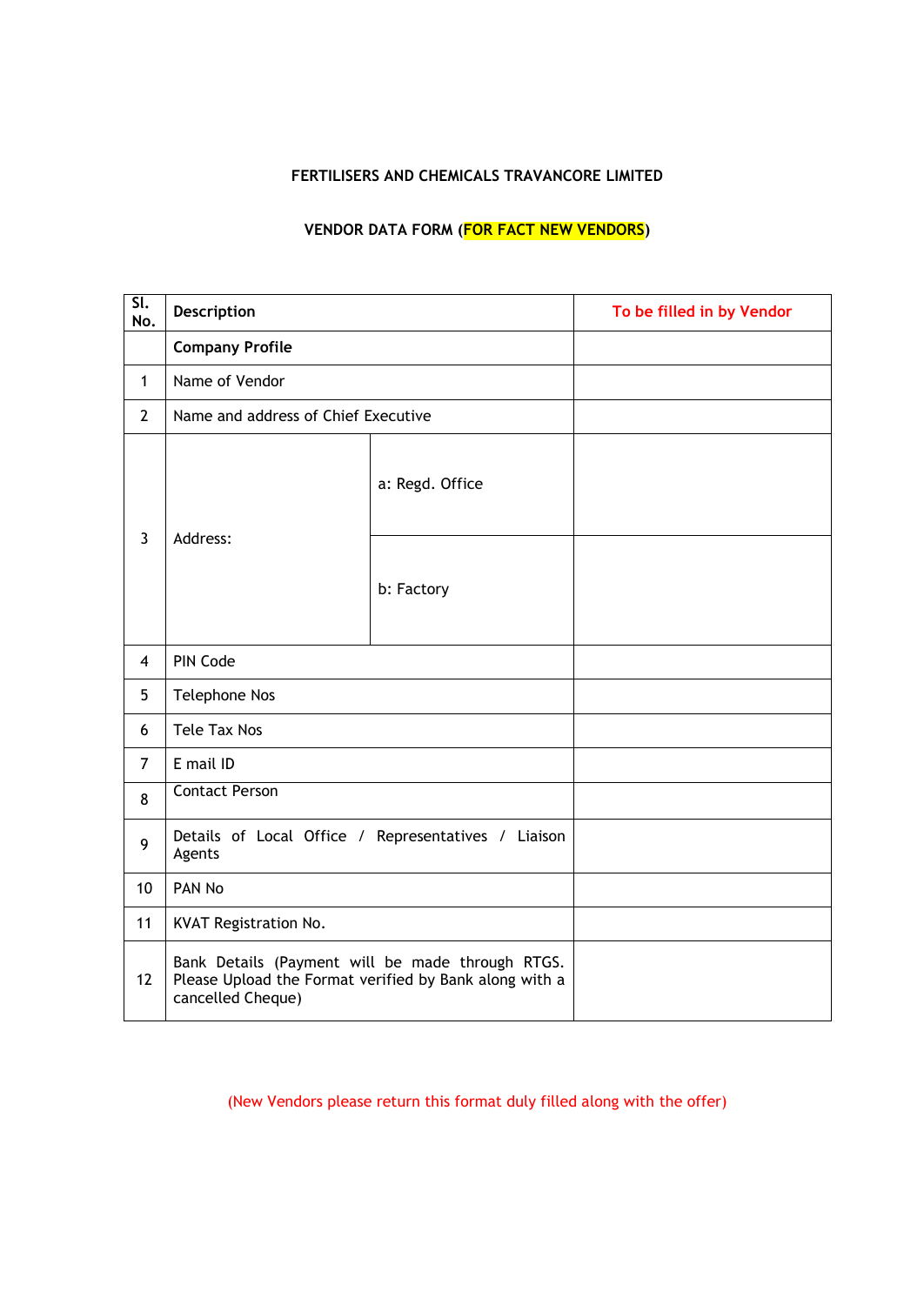### **FERTILISERS AND CHEMICALS TRAVANCORE LIMITED**

# **VENDOR DATA FORM (FOR FACT NEW VENDORS)**

| $\overline{\mathsf{SL}}$<br>No. | Description                                                                                                                     |                 | To be filled in by Vendor |
|---------------------------------|---------------------------------------------------------------------------------------------------------------------------------|-----------------|---------------------------|
|                                 | <b>Company Profile</b>                                                                                                          |                 |                           |
| $\mathbf{1}$                    | Name of Vendor                                                                                                                  |                 |                           |
| $\overline{2}$                  | Name and address of Chief Executive                                                                                             |                 |                           |
| $\overline{3}$                  | Address:                                                                                                                        | a: Regd. Office |                           |
|                                 |                                                                                                                                 | b: Factory      |                           |
| $\overline{4}$                  | PIN Code                                                                                                                        |                 |                           |
| 5                               | <b>Telephone Nos</b>                                                                                                            |                 |                           |
| 6                               | <b>Tele Tax Nos</b>                                                                                                             |                 |                           |
| $\overline{7}$                  | E mail ID                                                                                                                       |                 |                           |
| 8                               | <b>Contact Person</b>                                                                                                           |                 |                           |
| 9                               | Details of Local Office / Representatives / Liaison<br>Agents                                                                   |                 |                           |
| 10                              | PAN No                                                                                                                          |                 |                           |
| 11                              | KVAT Registration No.                                                                                                           |                 |                           |
| 12                              | Bank Details (Payment will be made through RTGS.<br>Please Upload the Format verified by Bank along with a<br>cancelled Cheque) |                 |                           |

(New Vendors please return this format duly filled along with the offer)